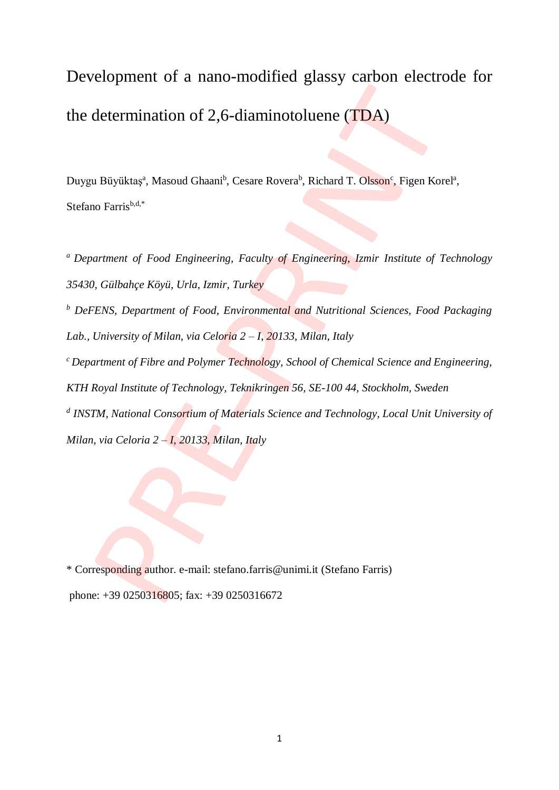Development of a nano-modified glassy carbon electrode for the determination of 2,6-diaminotoluene (TDA)

Duygu Büyüktaş<sup>a</sup>, Masoud Ghaani<sup>b</sup>, Cesare Rovera<sup>b</sup>, Richard T. Olsson<sup>c</sup>, Figen Korel<sup>a</sup>, Stefano Farris<sup>b,d,\*</sup>

*<sup>a</sup>Department of Food Engineering, Faculty of Engineering, Izmir Institute of Technology 35430, Gülbahçe Köyü, Urla, Izmir, Turkey <sup>b</sup> DeFENS, Department of Food, Environmental and Nutritional Sciences, Food Packaging Lab., University of Milan, via Celoria 2 – I, 20133, Milan, Italy <sup>c</sup>Department of Fibre and Polymer Technology, School of Chemical Science and Engineering, KTH Royal Institute of Technology, Teknikringen 56, SE-100 44, Stockholm, Sweden d INSTM, National Consortium of Materials Science and Technology, Local Unit University of* 

*Milan, via Celoria 2 – I, 20133, Milan, Italy*

\* Corresponding author. e-mail: stefano.farris@unimi.it (Stefano Farris) phone: +39 0250316805; fax: +39 0250316672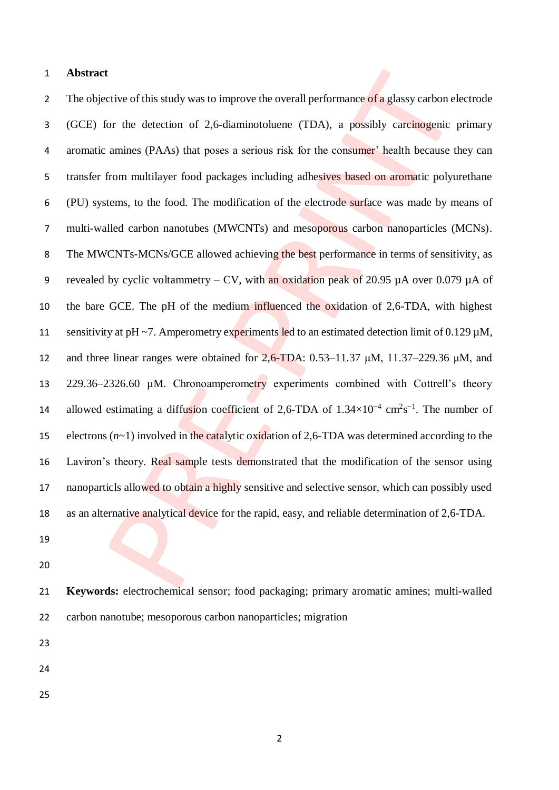### **Abstract**

2 The objective of this study was to improve the overall performance of a glassy carbon electrode (GCE) for the detection of 2,6-diaminotoluene (TDA), a possibly carcinogenic primary aromatic amines (PAAs) that poses a serious risk for the consumer' health because they can 5 transfer from multilayer food packages including adhesives based on aromatic polyurethane (PU) systems, to the food. The modification of the electrode surface was made by means of multi-walled carbon nanotubes (MWCNTs) and mesoporous carbon nanoparticles (MCNs). The MWCNTs-MCNs/GCE allowed achieving the best performance in terms of sensitivity, as 9 revealed by cyclic voltammetry – CV, with an oxidation peak of 20.95  $\mu$ A over 0.079  $\mu$ A of the bare GCE. The pH of the medium influenced the oxidation of 2,6-TDA, with highest 11 sensitivity at pH ~7. Amperometry experiments led to an estimated detection limit of 0.129  $\mu$ M, 12 and three linear ranges were obtained for  $2.6$ -TDA:  $0.53$ -11.37  $\mu$ M, 11.37–229.36  $\mu$ M, and 229.36–2326.60 µM. Chronoamperometry experiments combined with Cottrell's theory 14 allowed estimating a diffusion coefficient of 2,6-TDA of  $1.34 \times 10^{-4}$  cm<sup>2</sup>s<sup>-1</sup>. The number of electrons (*n*~1) involved in the catalytic oxidation of 2,6-TDA was determined according to the 16 Laviron's theory. Real sample tests demonstrated that the modification of the sensor using 17 nanoparticls allowed to obtain a highly sensitive and selective sensor, which can possibly used as an alternative analytical device for the rapid, easy, and reliable determination of 2,6-TDA.

- 
- 

 **Keywords:** electrochemical sensor; food packaging; primary aromatic amines; multi-walled carbon nanotube; mesoporous carbon nanoparticles; migration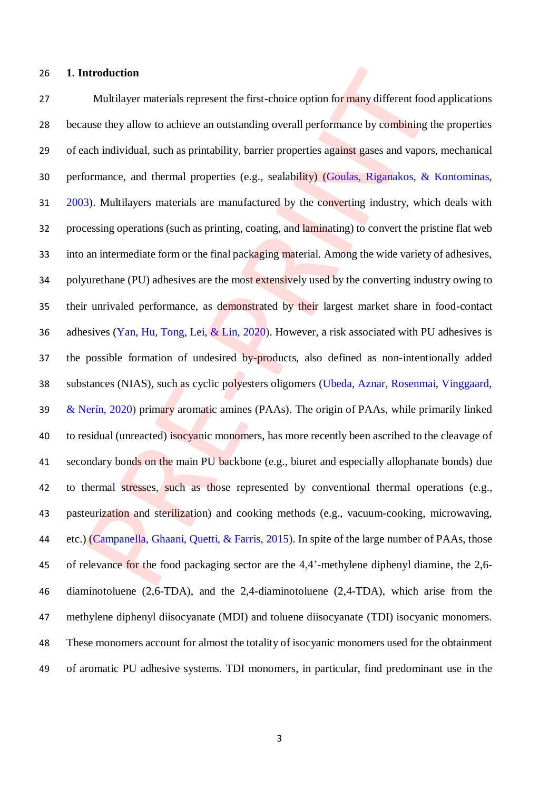## **1. Introduction**

27 Multilayer materials represent the first-choice option for many different food applications 28 because they allow to achieve an outstanding overall performance by combining the properties of each individual, such as printability, barrier properties against gases and vapors, mechanical performance, and thermal properties (e.g., sealability) (Goulas, Riganakos, & Kontominas, 2003). Multilayers materials are manufactured by the converting industry, which deals with processing operations (such as printing, coating, and laminating) to convert the pristine flat web 33 into an intermediate form or the final packaging material. Among the wide variety of adhesives, 34 polyurethane (PU) adhesives are the most extensively used by the converting industry owing to their unrivaled performance, as demonstrated by their largest market share in food-contact adhesives (Yan, Hu, Tong, Lei, & Lin, 2020). However, a risk associated with PU adhesives is 37 the possible formation of undesired by-products, also defined as non-intentionally added substances (NIAS), such as cyclic polyesters oligomers (Ubeda, Aznar, Rosenmai, Vinggaard, 39 & Nerín, 2020) primary aromatic amines (PAAs). The origin of PAAs, while primarily linked 40 to residual (unreacted) isocyanic monomers, has more recently been ascribed to the cleavage of 41 secondary bonds on the main PU backbone (e.g., biuret and especially allophanate bonds) due 42 to thermal stresses, such as those represented by conventional thermal operations (e.g., pasteurization and sterilization) and cooking methods (e.g., vacuum-cooking, microwaving, etc.) (Campanella, Ghaani, Quetti, & Farris, 2015). In spite of the large number of PAAs, those of relevance for the food packaging sector are the 4,4'-methylene diphenyl diamine, the 2,6- diaminotoluene (2,6-TDA), and the 2,4-diaminotoluene (2,4-TDA), which arise from the methylene diphenyl diisocyanate (MDI) and toluene diisocyanate (TDI) isocyanic monomers. These monomers account for almost the totality of isocyanic monomers used for the obtainment of aromatic PU adhesive systems. TDI monomers, in particular, find predominant use in the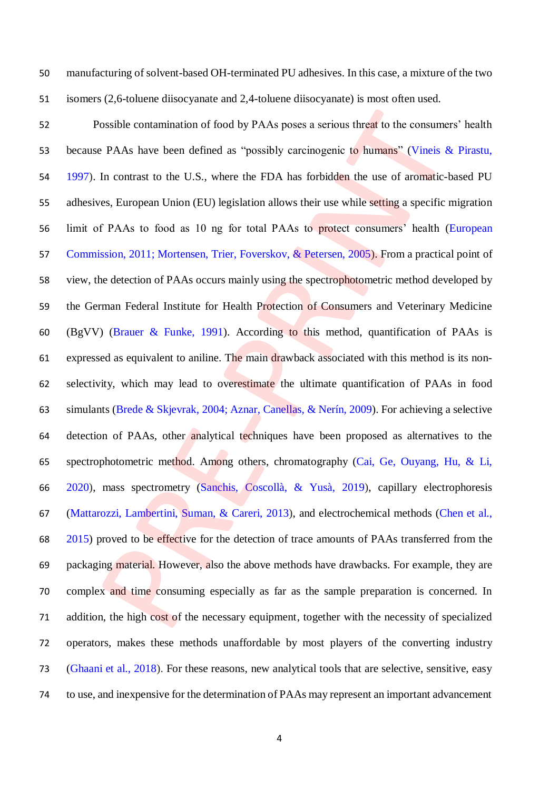manufacturing of solvent-based OH-terminated PU adhesives. In this case, a mixture of the two isomers (2,6-toluene diisocyanate and 2,4-toluene diisocyanate) is most often used.

52 Possible contamination of food by PAAs poses a serious threat to the consumers' health because PAAs have been defined as "possibly carcinogenic to humans" (Vineis & Pirastu, 1997). In contrast to the U.S., where the FDA has forbidden the use of aromatic-based PU adhesives, European Union (EU) legislation allows their use while setting a specific migration limit of PAAs to food as 10 ng for total PAAs to protect consumers' health (European Commission, 2011; Mortensen, Trier, Foverskov, & Petersen, 2005). From a practical point of view, the detection of PAAs occurs mainly using the spectrophotometric method developed by the German Federal Institute for Health Protection of Consumers and Veterinary Medicine (BgVV) (Brauer & Funke, 1991). According to this method, quantification of PAAs is expressed as equivalent to aniline. The main drawback associated with this method is its non- selectivity, which may lead to overestimate the ultimate quantification of PAAs in food simulants (Brede & Skjevrak, 2004; Aznar, Canellas, & Nerín, 2009). For achieving a selective detection of PAAs, other analytical techniques have been proposed as alternatives to the spectrophotometric method. Among others, chromatography (Cai, Ge, Ouyang, Hu, & Li, 2020), mass spectrometry (Sanchis, Coscollà, & Yusà, 2019), capillary electrophoresis (Mattarozzi, Lambertini, Suman, & Careri, 2013), and electrochemical methods (Chen et al., 2015) proved to be effective for the detection of trace amounts of PAAs transferred from the packaging material. However, also the above methods have drawbacks. For example, they are complex and time consuming especially as far as the sample preparation is concerned. In addition, the high cost of the necessary equipment, together with the necessity of specialized operators, makes these methods unaffordable by most players of the converting industry (Ghaani et al., 2018). For these reasons, new analytical tools that are selective, sensitive, easy to use, and inexpensive for the determination of PAAs may represent an important advancement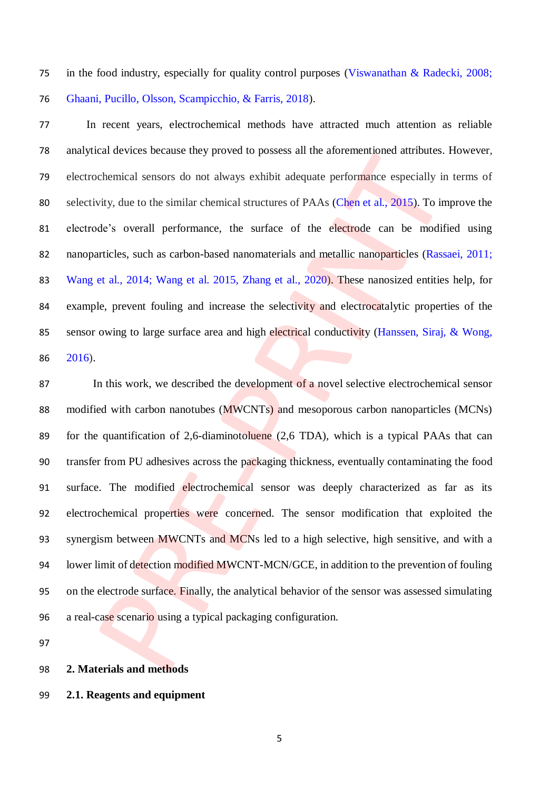in the food industry, especially for quality control purposes (Viswanathan & Radecki, 2008; Ghaani, Pucillo, Olsson, Scampicchio, & Farris, 2018).

 In recent years, electrochemical methods have attracted much attention as reliable analytical devices because they proved to possess all the aforementioned attributes. However, electrochemical sensors do not always exhibit adequate performance especially in terms of selectivity, due to the similar chemical structures of PAAs (Chen et al., 2015). To improve the electrode's overall performance, the surface of the electrode can be modified using nanoparticles, such as carbon-based nanomaterials and metallic nanoparticles (Rassaei, 2011; Wang et al., 2014; Wang et al. 2015, Zhang et al., 2020). These nanosized entities help, for 84 example, prevent fouling and increase the selectivity and electrocatalytic properties of the 85 sensor owing to large surface area and high electrical conductivity (Hanssen, Siraj, & Wong, 2016).

87 In this work, we described the development of a novel selective electrochemical sensor modified with carbon nanotubes (MWCNTs) and mesoporous carbon nanoparticles (MCNs) for the quantification of 2,6-diaminotoluene (2,6 TDA), which is a typical PAAs that can transfer from PU adhesives across the packaging thickness, eventually contaminating the food surface. The modified electrochemical sensor was deeply characterized as far as its electrochemical properties were concerned. The sensor modification that exploited the 93 synergism between MWCNTs and MCNs led to a high selective, high sensitive, and with a 94 lower limit of detection modified MWCNT-MCN/GCE, in addition to the prevention of fouling on the electrode surface. Finally, the analytical behavior of the sensor was assessed simulating 96 a real-case scenario using a typical packaging configuration.

**2. Materials and methods**

# **2.1. Reagents and equipment**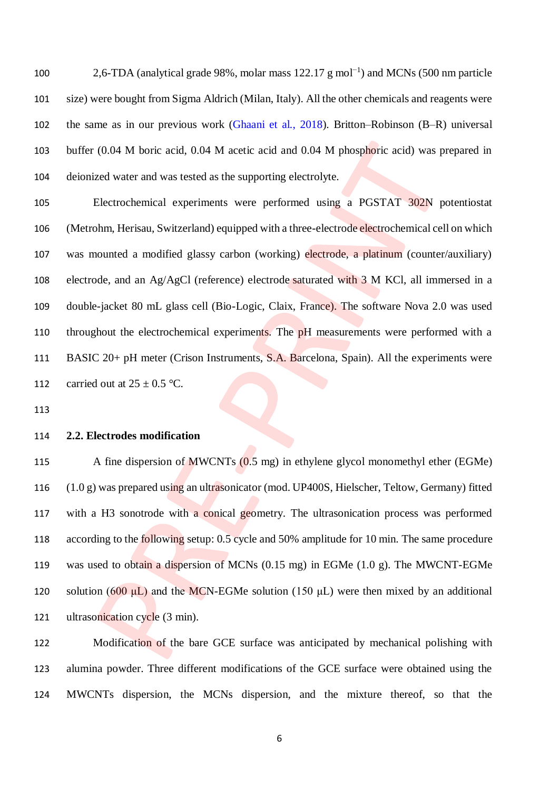100 2,6-TDA (analytical grade 98%, molar mass 122.17 g mol<sup>-1</sup>) and MCNs (500 nm particle size) were bought from Sigma Aldrich (Milan, Italy). All the other chemicals and reagents were the same as in our previous work (Ghaani et al., 2018). Britton–Robinson (B–R) universal buffer (0.04 M boric acid, 0.04 M acetic acid and 0.04 M phosphoric acid) was prepared in deionized water and was tested as the supporting electrolyte.

 Electrochemical experiments were performed using a PGSTAT 302N potentiostat (Metrohm, Herisau, Switzerland) equipped with a three-electrode electrochemical cell on which was mounted a modified glassy carbon (working) electrode, a platinum (counter/auxiliary) electrode, and an Ag/AgCl (reference) electrode saturated with 3 M KCl, all immersed in a double-jacket 80 mL glass cell (Bio-Logic, Claix, France). The software Nova 2.0 was used 110 throughout the electrochemical experiments. The pH measurements were performed with a BASIC 20+ pH meter (Crison Instruments, S.A. Barcelona, Spain). All the experiments were 112 carried out at  $25 \pm 0.5$  °C.

# **2.2. Electrodes modification**

 A fine dispersion of MWCNTs (0.5 mg) in ethylene glycol monomethyl ether (EGMe) (1.0 g) was prepared using an ultrasonicator (mod. UP400S, Hielscher, Teltow, Germany) fitted with a H3 sonotrode with a conical geometry. The ultrasonication process was performed according to the following setup: 0.5 cycle and 50% amplitude for 10 min. The same procedure was used to obtain a dispersion of MCNs (0.15 mg) in EGMe (1.0 g). The MWCNT-EGMe 120 solution (600  $\mu$ L) and the MCN-EGMe solution (150  $\mu$ L) were then mixed by an additional 121 ultrasonication cycle (3 min).

 Modification of the bare GCE surface was anticipated by mechanical polishing with alumina powder. Three different modifications of the GCE surface were obtained using the MWCNTs dispersion, the MCNs dispersion, and the mixture thereof, so that the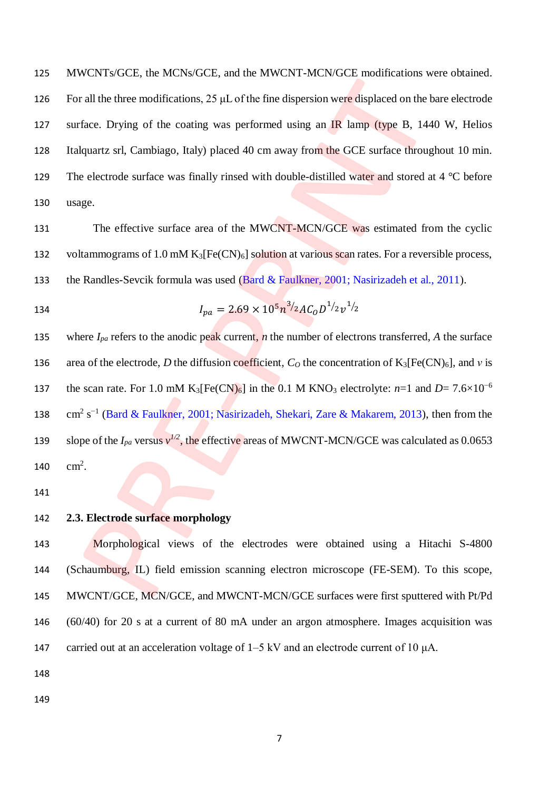125 MWCNTs/GCE, the MCNs/GCE, and the MWCNT-MCN/GCE modifications were obtained. 126 For all the three modifications, 25 μL of the fine dispersion were displaced on the bare electrode 127 surface. Drying of the coating was performed using an IR lamp (type B, 1440 W, Helios 128 Italquartz srl, Cambiago, Italy) placed 40 cm away from the GCE surface throughout 10 min. 129 The electrode surface was finally rinsed with double-distilled water and stored at 4 °C before 130 usage.

131 The effective surface area of the MWCNT-MCN/GCE was estimated from the cyclic 132 voltammograms of 1.0 mM  $K_3[Fe(CN)_6]$  solution at various scan rates. For a reversible process, 133 the Randles-Sevcik formula was used (Bard & Faulkner, 2001; Nasirizadeh et al., 2011).

134

$$
I_{pa} = 2.69 \times 10^5 n^3 / 2AC_0 D^{1/2} v^{1/2}
$$

135 where  $I_{pa}$  refers to the anodic peak current, *n* the number of electrons transferred, *A* the surface 136 area of the electrode, *D* the diffusion coefficient,  $C<sub>O</sub>$  the concentration of K<sub>3</sub>[Fe(CN)<sub>6</sub>], and *v* is the scan rate. For 1.0 mM K<sub>3</sub>[Fe(CN)<sub>6</sub>] in the 0.1 M KNO<sub>3</sub> electrolyte:  $n=1$  and  $D=7.6\times10^{-6}$ 137 138  $\text{cm}^2 \text{ s}^{-1}$  (Bard & Faulkner, 2001; Nasirizadeh, Shekari, Zare & Makarem, 2013), then from the 139 slope of the  $I_{pa}$  versus  $v^{1/2}$ , the effective areas of MWCNT-MCN/GCE was calculated as 0.0653 140  $\text{cm}^2$ .

141

## 142 **2.3. Electrode surface morphology**

 Morphological views of the electrodes were obtained using a Hitachi S-4800 (Schaumburg, IL) field emission scanning electron microscope (FE-SEM). To this scope, MWCNT/GCE, MCN/GCE, and MWCNT-MCN/GCE surfaces were first sputtered with Pt/Pd (60/40) for 20 s at a current of 80 mA under an argon atmosphere. Images acquisition was 147 carried out at an acceleration voltage of  $1-5$  kV and an electrode current of 10  $\mu$ A.

148

149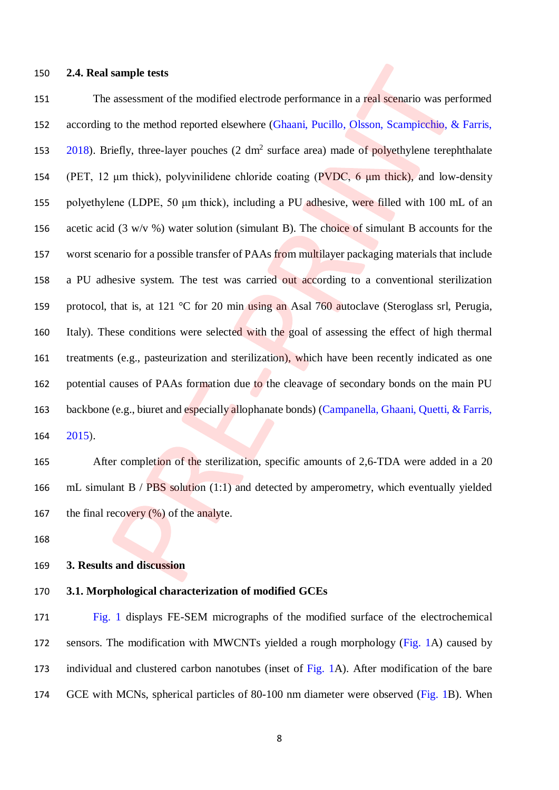### **2.4. Real sample tests**

151 The assessment of the modified electrode performance in a real scenario was performed according to the method reported elsewhere (Ghaani, Pucillo, Olsson, Scampicchio, & Farris, 153 2018). Briefly, three-layer pouches (2 dm<sup>2</sup> surface area) made of polyethylene terephthalate (PET, 12 μm thick), polyvinilidene chloride coating (PVDC, 6 μm thick), and low-density polyethylene (LDPE, 50 μm thick), including a PU adhesive, were filled with 100 mL of an 156 acetic acid (3 w/v %) water solution (simulant B). The choice of simulant B accounts for the worst scenario for a possible transfer of PAAs from multilayer packaging materials that include a PU adhesive system. The test was carried out according to a conventional sterilization 159 protocol, that is, at 121 °C for 20 min using an Asal 760 autoclave (Steroglass srl, Perugia, Italy). These conditions were selected with the goal of assessing the effect of high thermal treatments (e.g., pasteurization and sterilization), which have been recently indicated as one 162 potential causes of PAAs formation due to the cleavage of secondary bonds on the main PU backbone (e.g., biuret and especially allophanate bonds) (Campanella, Ghaani, Quetti, & Farris, 2015).

165 After completion of the sterilization, specific amounts of 2,6-TDA were added in a 20 mL simulant B / PBS solution (1:1) and detected by amperometry, which eventually yielded 167 the final recovery  $(\%)$  of the analyte.

# **3. Results and discussion**

# **3.1. Morphological characterization of modified GCEs**

 Fig. 1 displays FE-SEM micrographs of the modified surface of the electrochemical sensors. The modification with MWCNTs yielded a rough morphology (Fig. 1A) caused by 173 individual and clustered carbon nanotubes (inset of Fig. 1A). After modification of the bare GCE with MCNs, spherical particles of 80-100 nm diameter were observed (Fig. 1B). When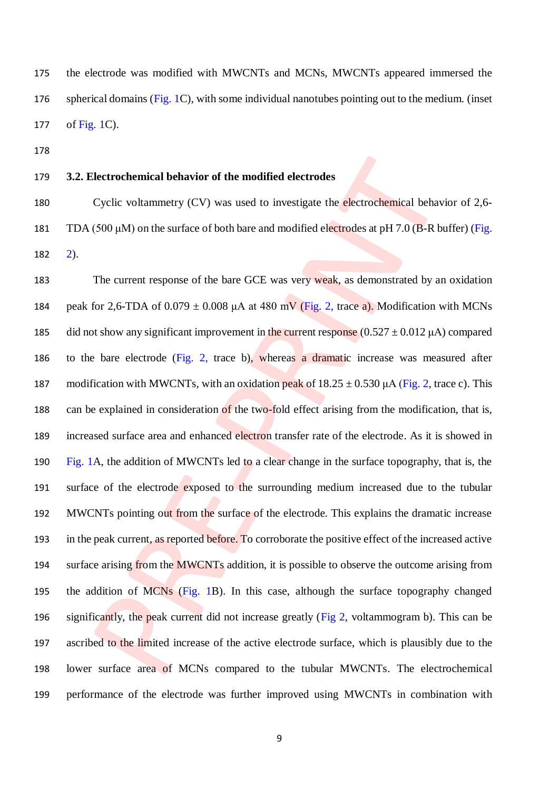the electrode was modified with MWCNTs and MCNs, MWCNTs appeared immersed the spherical domains (Fig. 1C), with some individual nanotubes pointing out to the medium. (inset of Fig. 1C).

# **3.2. Electrochemical behavior of the modified electrodes**

 Cyclic voltammetry (CV) was used to investigate the electrochemical behavior of 2,6- 181 TDA (500  $\mu$ M) on the surface of both bare and modified electrodes at pH 7.0 (B-R buffer) (Fig. 2).

183 The current response of the bare GCE was very weak, as demonstrated by an oxidation 184 peak for 2,6-TDA of  $0.079 \pm 0.008$   $\mu$ A at 480 mV (Fig. 2, trace a). Modification with MCNs 185 did not show any significant improvement in the current response  $(0.527 \pm 0.012 \,\mu\text{A})$  compared to the bare electrode (Fig. 2, trace b), whereas a dramatic increase was measured after 187 modification with MWCNTs, with an oxidation peak of  $18.25 \pm 0.530 \mu$ A (Fig. 2, trace c). This can be explained in consideration of the two-fold effect arising from the modification, that is, increased surface area and enhanced electron transfer rate of the electrode. As it is showed in Fig. 1A, the addition of MWCNTs led to a clear change in the surface topography, that is, the surface of the electrode exposed to the surrounding medium increased due to the tubular 192 MWCNTs pointing out from the surface of the electrode. This explains the dramatic increase in the peak current, as reported before. To corroborate the positive effect of the increased active 194 surface arising from the MWCNTs addition, it is possible to observe the outcome arising from the addition of MCNs (Fig. 1B). In this case, although the surface topography changed significantly, the peak current did not increase greatly (Fig 2, voltammogram b). This can be ascribed to the limited increase of the active electrode surface, which is plausibly due to the lower surface area of MCNs compared to the tubular MWCNTs. The electrochemical performance of the electrode was further improved using MWCNTs in combination with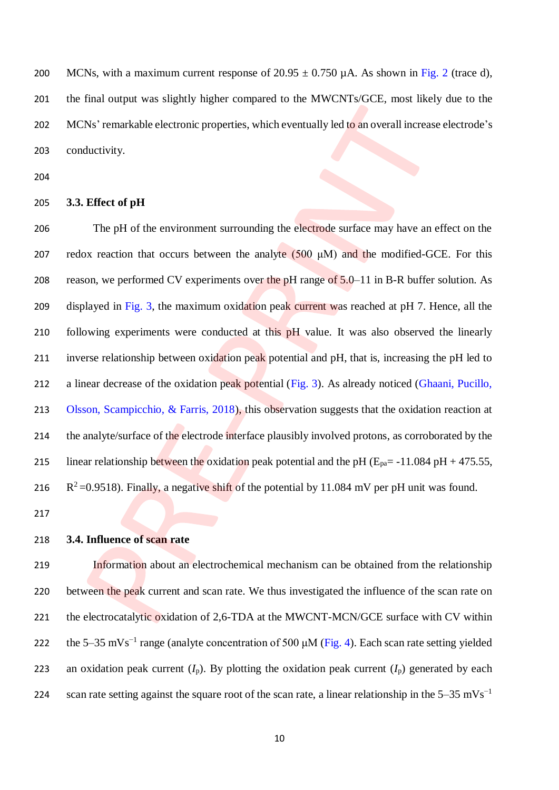200 MCNs, with a maximum current response of  $20.95 \pm 0.750 \,\mu A$ . As shown in Fig. 2 (trace d), 201 the final output was slightly higher compared to the MWCNTs/GCE, most likely due to the 202 MCNs' remarkable electronic properties, which eventually led to an overall increase electrode's 203 conductivity.

204

### 205 **3.3. Effect of pH**

206 The pH of the environment surrounding the electrode surface may have an effect on the 207 redox reaction that occurs between the analyte  $(500 \mu M)$  and the modified-GCE. For this 208 reason, we performed CV experiments over the pH range of  $5.0-11$  in B-R buffer solution. As 209 displayed in Fig. 3, the maximum oxidation peak current was reached at pH 7. Hence, all the 210 following experiments were conducted at this pH value. It was also observed the linearly 211 inverse relationship between oxidation peak potential and pH, that is, increasing the pH led to 212 a linear decrease of the oxidation peak potential (Fig. 3). As already noticed (Ghaani, Pucillo, 213 Olsson, Scampicchio, & Farris, 2018), this observation suggests that the oxidation reaction at 214 the analyte/surface of the electrode interface plausibly involved protons, as corroborated by the 215 linear relationship between the oxidation peak potential and the pH ( $E_{pa}$  = -11.084 pH + 475.55, 216  $R^2$  =0.9518). Finally, a negative shift of the potential by 11.084 mV per pH unit was found.

217

# 218 **3.4. Influence of scan rate**

219 Information about an electrochemical mechanism can be obtained from the relationship 220 between the peak current and scan rate. We thus investigated the influence of the scan rate on 221 the electrocatalytic oxidation of 2,6-TDA at the MWCNT-MCN/GCE surface with CV within 222 the 5–35 mVs<sup>-1</sup> range (analyte concentration of 500  $\mu$ M (Fig. 4). Each scan rate setting yielded 223 an oxidation peak current  $(I_p)$ . By plotting the oxidation peak current  $(I_p)$  generated by each scan rate setting against the square root of the scan rate, a linear relationship in the  $5-35$  mVs<sup>-1</sup> 224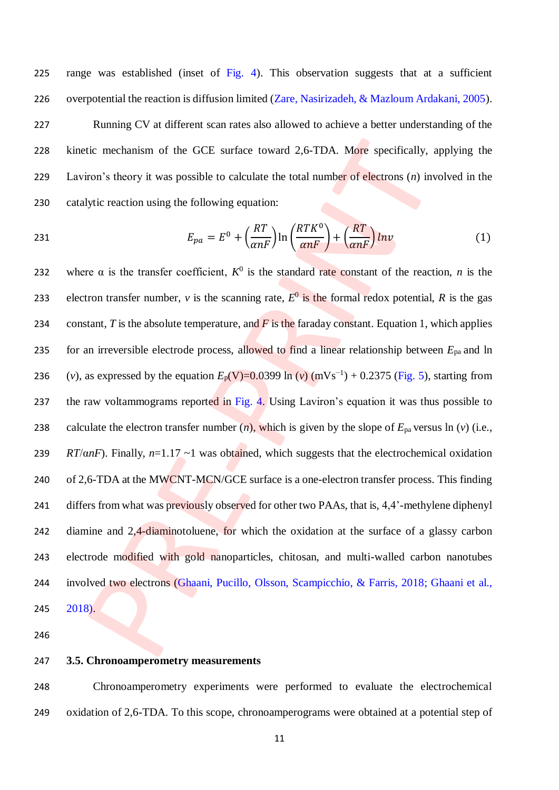range was established (inset of Fig. 4). This observation suggests that at a sufficient overpotential the reaction is diffusion limited (Zare, Nasirizadeh, & Mazloum Ardakani, 2005). Running CV at different scan rates also allowed to achieve a better understanding of the kinetic mechanism of the GCE surface toward 2,6-TDA. More specifically, applying the Laviron's theory it was possible to calculate the total number of electrons (*n*) involved in the catalytic reaction using the following equation:

231 
$$
E_{pa} = E^0 + \left(\frac{RT}{\alpha nF}\right) \ln \left(\frac{RTK^0}{\alpha nF}\right) + \left(\frac{RT}{\alpha nF}\right) \ln v \tag{1}
$$

232 where  $\alpha$  is the transfer coefficient,  $K^0$  is the standard rate constant of the reaction, *n* is the 233 electron transfer number, *v* is the scanning rate,  $E^0$  is the formal redox potential, *R* is the gas 234 constant, *T* is the absolute temperature, and *F* is the faraday constant. Equation 1, which applies 235 for an irreversible electrode process, allowed to find a linear relationship between *E*pa and ln 236 (*v*), as expressed by the equation  $E_p(V)=0.0399 \ln{(v)} (mVs^{-1}) + 0.2375$  (Fig. 5), starting from 237 the raw voltammograms reported in Fig. 4. Using Laviron's equation it was thus possible to 238 calculate the electron transfer number  $(n)$ , which is given by the slope of  $E_{pa}$  versus ln  $(v)$  (i.e., 239 *RT*/α*nF*). Finally, *n*=1.17 ~1 was obtained, which suggests that the electrochemical oxidation 240 of 2,6-TDA at the MWCNT-MCN/GCE surface is a one-electron transfer process. This finding 241 differs from what was previously observed for other two PAAs, that is, 4,4'-methylene diphenyl 242 diamine and 2,4-diaminotoluene, for which the oxidation at the surface of a glassy carbon 243 electrode modified with gold nanoparticles, chitosan, and multi-walled carbon nanotubes 244 involved two electrons (Ghaani, Pucillo, Olsson, Scampicchio, & Farris, 2018; Ghaani et al., 245 2018).

246

#### 247 **3.5. Chronoamperometry measurements**

248 Chronoamperometry experiments were performed to evaluate the electrochemical 249 oxidation of 2,6-TDA. To this scope, chronoamperograms were obtained at a potential step of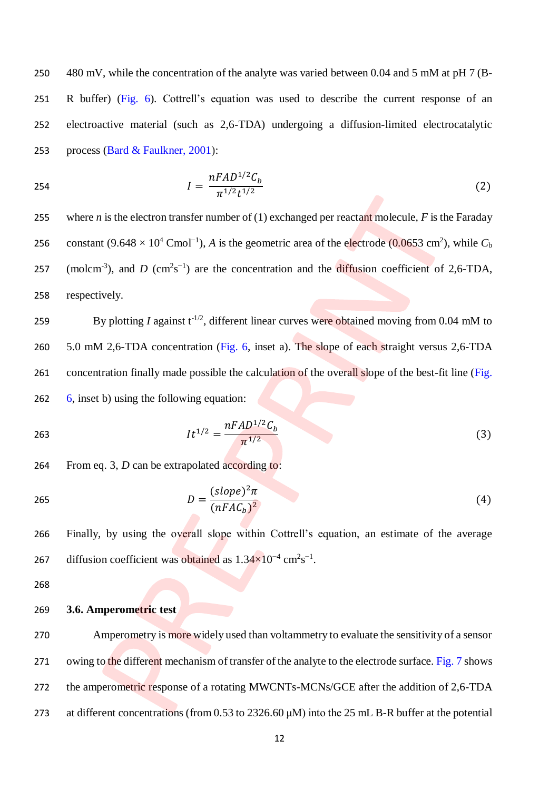480 mV, while the concentration of the analyte was varied between 0.04 and 5 mM at pH 7 (B- R buffer) (Fig. 6). Cottrell's equation was used to describe the current response of an electroactive material (such as 2,6-TDA) undergoing a diffusion-limited electrocatalytic process (Bard & Faulkner, 2001):

254 
$$
I = \frac{nFAD^{1/2}C_b}{\pi^{1/2}t^{1/2}}
$$
 (2)

255 where *n* is the electron transfer number of (1) exchanged per reactant molecule, *F* is the Faraday constant  $(9.648 \times 10^4 \text{ C} \text{mol}^{-1})$ , *A* is the geometric area of the electrode (0.0653 cm<sup>2</sup>), while *C*<sub>b</sub> 257 (molcm<sup>-3</sup>), and *D* (cm<sup>2</sup>s<sup>-1</sup>) are the concentration and the diffusion coefficient of 2,6-TDA, 258 respectively.

259 By plotting *I* against  $t^{-1/2}$ , different linear curves were obtained moving from 0.04 mM to 260 5.0 mM 2,6-TDA concentration (Fig. 6, inset a). The slope of each straight versus 2,6-TDA 261 concentration finally made possible the calculation of the overall slope of the best-fit line (Fig. 262 6, inset b) using the following equation:

$$
lt^{1/2} = \frac{nFAD^{1/2}C_b}{\pi^{1/2}}
$$
(3)

264 From eq. 3, *D* can be extrapolated according to:

$$
D = \frac{(slope)^2 \pi}{(nFAC_b)^2}
$$
 (4)

266 Finally, by using the overall slope within Cottrell's equation, an estimate of the average 267 diffusion coefficient was obtained as  $1.34 \times 10^{-4}$  cm<sup>2</sup>s<sup>-1</sup>.

268

### 269 **3.6. Amperometric test**

270 Amperometry is more widely used than voltammetry to evaluate the sensitivity of a sensor 271 owing to the different mechanism of transfer of the analyte to the electrode surface. Fig. 7 shows 272 the amperometric response of a rotating MWCNTs-MCNs/GCE after the addition of 2,6-TDA 273 at different concentrations (from 0.53 to 2326.60 μM) into the 25 mL B-R buffer at the potential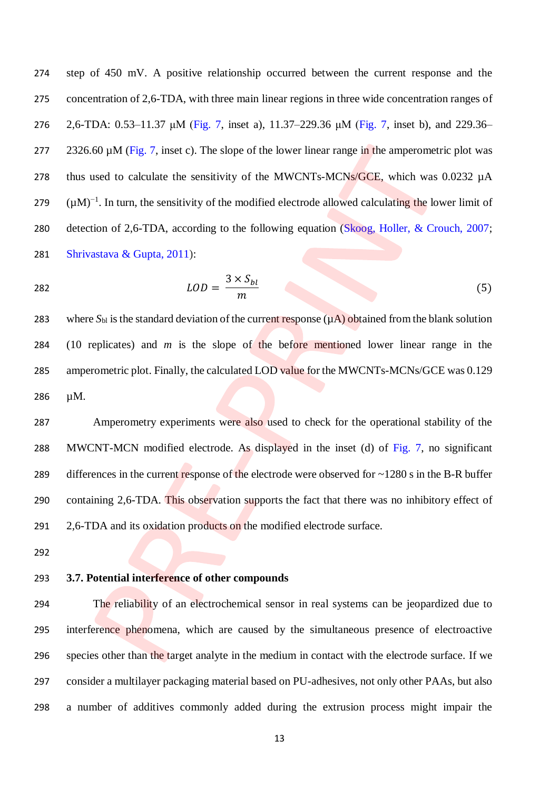step of 450 mV. A positive relationship occurred between the current response and the concentration of 2,6-TDA, with three main linear regions in three wide concentration ranges of 2,6-TDA: 0.53–11.37 μM (Fig. 7, inset a), 11.37–229.36 μM (Fig. 7, inset b), and 229.36– 277 2326.60  $\mu$ M (Fig. 7, inset c). The slope of the lower linear range in the amperometric plot was 278 thus used to calculate the sensitivity of the MWCNTs-MCNs/GCE, which was  $0.0232 \mu A$  $(µM)^{-1}$ . In turn, the sensitivity of the modified electrode allowed calculating the lower limit of detection of 2,6-TDA, according to the following equation (Skoog, Holler, & Crouch, 2007; Shrivastava & Gupta, 2011):

$$
\overline{28}
$$

$$
LOD = \frac{3 \times S_{bl}}{m} \tag{5}
$$

283 where  $S_{bl}$  is the standard deviation of the current response  $(\mu A)$  obtained from the blank solution (10 replicates) and *m* is the slope of the before mentioned lower linear range in the 285 amperometric plot. Finally, the calculated LOD value for the MWCNTs-MCNs/GCE was 0.129 µM.

 Amperometry experiments were also used to check for the operational stability of the MWCNT-MCN modified electrode. As displayed in the inset (d) of Fig. 7, no significant 289 differences in the current response of the electrode were observed for  $\sim$ 1280 s in the B-R buffer containing 2,6-TDA. This observation supports the fact that there was no inhibitory effect of 291 2,6-TDA and its oxidation products on the modified electrode surface.

### **3.7. Potential interference of other compounds**

 The reliability of an electrochemical sensor in real systems can be jeopardized due to interference phenomena, which are caused by the simultaneous presence of electroactive 296 species other than the target analyte in the medium in contact with the electrode surface. If we consider a multilayer packaging material based on PU-adhesives, not only other PAAs, but also a number of additives commonly added during the extrusion process might impair the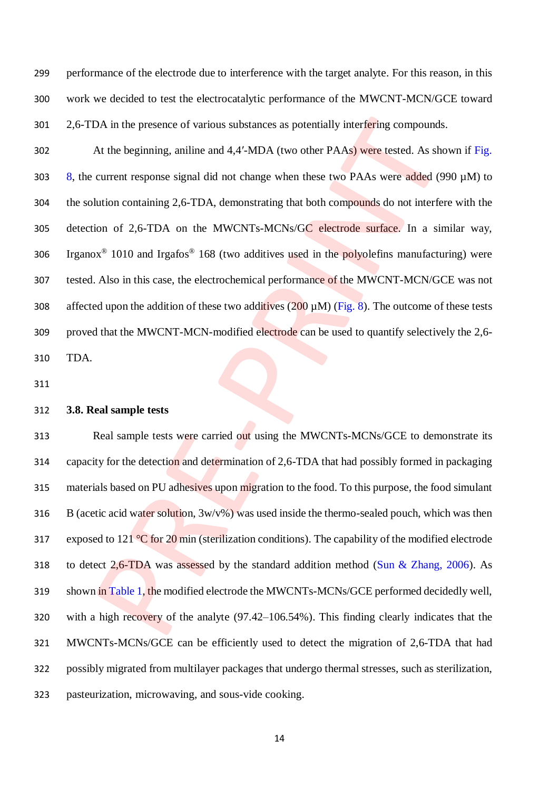performance of the electrode due to interference with the target analyte. For this reason, in this work we decided to test the electrocatalytic performance of the MWCNT-MCN/GCE toward 301 2,6-TDA in the presence of various substances as potentially interfering compounds.

 At the beginning, aniline and 4,4′-MDA (two other PAAs) were tested. As shown if Fig. 303 8, the current response signal did not change when these two PAAs were added (990  $\mu$ M) to the solution containing 2,6-TDA, demonstrating that both compounds do not interfere with the detection of 2,6-TDA on the MWCNTs-MCNs/GC electrode surface. In a similar way, 306 Irganox<sup>®</sup> 1010 and Irgafos<sup>®</sup> 168 (two additives used in the polyolefins manufacturing) were tested. Also in this case, the electrochemical performance of the MWCNT-MCN/GCE was not 308 affected upon the addition of these two additives  $(200 \mu M)$  (Fig. 8). The outcome of these tests proved that the MWCNT-MCN-modified electrode can be used to quantify selectively the 2,6- TDA.

# **3.8. Real sample tests**

313 Real sample tests were carried out using the MWCNTs-MCNs/GCE to demonstrate its capacity for the detection and determination of 2,6-TDA that had possibly formed in packaging 315 materials based on PU adhesives upon migration to the food. To this purpose, the food simulant 316 B (acetic acid water solution,  $3w/v\%$ ) was used inside the thermo-sealed pouch, which was then 317 exposed to  $121^{\circ}$ C for  $20$  min (sterilization conditions). The capability of the modified electrode to detect 2,6-TDA was assessed by the standard addition method (Sun & Zhang, 2006). As shown in Table 1, the modified electrode the MWCNTs-MCNs/GCE performed decidedly well, with a high recovery of the analyte (97.42–106.54%). This finding clearly indicates that the MWCNTs-MCNs/GCE can be efficiently used to detect the migration of 2,6-TDA that had possibly migrated from multilayer packages that undergo thermal stresses, such as sterilization, pasteurization, microwaving, and sous-vide cooking.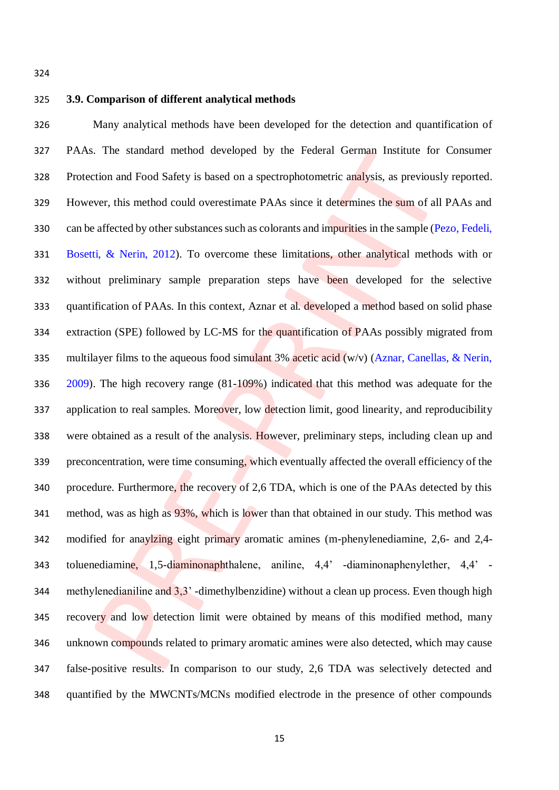### **3.9. Comparison of different analytical methods**

 Many analytical methods have been developed for the detection and quantification of PAAs. The standard method developed by the Federal German Institute for Consumer 328 Protection and Food Safety is based on a spectrophotometric analysis, as previously reported. However, this method could overestimate PAAs since it determines the sum of all PAAs and can be affected by other substances such as colorants and impurities in the sample (Pezo, Fedeli, Bosetti, & Nerin, 2012). To overcome these limitations, other analytical methods with or without preliminary sample preparation steps have been developed for the selective quantification of PAAs. In this context, Aznar et al. developed a method based on solid phase 334 extraction (SPE) followed by LC-MS for the quantification of PAAs possibly migrated from 335 multilayer films to the aqueous food simulant 3% acetic acid  $(w/v)$  (Aznar, Canellas, & Nerin, 2009). The high recovery range (81-109%) indicated that this method was adequate for the 337 application to real samples. Moreover, low detection limit, good linearity, and reproducibility were obtained as a result of the analysis. However, preliminary steps, including clean up and preconcentration, were time consuming, which eventually affected the overall efficiency of the procedure. Furthermore, the recovery of 2,6 TDA, which is one of the PAAs detected by this 341 method, was as high as 93%, which is lower than that obtained in our study. This method was modified for anaylzing eight primary aromatic amines (m-phenylenediamine, 2,6- and 2,4- toluenediamine, 1,5-diaminonaphthalene, aniline, 4,4' -diaminonaphenylether, 4,4' - methylenedianiline and 3,3' -dimethylbenzidine) without a clean up process. Even though high 345 recovery and low detection limit were obtained by means of this modified method, many unknown compounds related to primary aromatic amines were also detected, which may cause false-positive results. In comparison to our study, 2,6 TDA was selectively detected and quantified by the MWCNTs/MCNs modified electrode in the presence of other compounds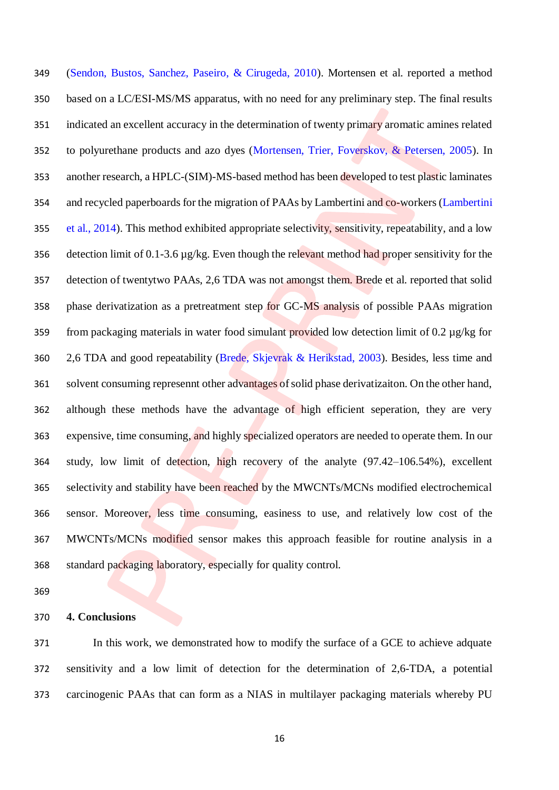(Sendon, Bustos, Sanchez, Paseiro, & Cirugeda, 2010). Mortensen et al. reported a method based on a LC/ESI-MS/MS apparatus, with no need for any preliminary step. The final results 351 indicated an excellent accuracy in the determination of twenty primary aromatic amines related to polyurethane products and azo dyes (Mortensen, Trier, Foverskov, & Petersen, 2005). In another research, a HPLC-(SIM)-MS-based method has been developed to test plastic laminates 354 and recycled paperboards for the migration of PAAs by Lambertini and co-workers (Lambertini et al., 2014). This method exhibited appropriate selectivity, sensitivity, repeatability, and a low 356 detection limit of 0.1-3.6  $\mu$ g/kg. Even though the relevant method had proper sensitivity for the detection of twentytwo PAAs, 2,6 TDA was not amongst them. Brede et al. reported that solid phase derivatization as a pretreatment step for GC-MS analysis of possible PAAs migration from packaging materials in water food simulant provided low detection limit of 0.2 µg/kg for 2,6 TDA and good repeatability (Brede, Skjevrak & Herikstad, 2003). Besides, less time and solvent consuming represennt other advantages of solid phase derivatizaiton. On the other hand, although these methods have the advantage of high efficient seperation, they are very 363 expensive, time consuming, and highly specialized operators are needed to operate them. In our study, low limit of detection, high recovery of the analyte (97.42–106.54%), excellent selectivity and stability have been reached by the MWCNTs/MCNs modified electrochemical sensor. Moreover, less time consuming, easiness to use, and relatively low cost of the MWCNTs/MCNs modified sensor makes this approach feasible for routine analysis in a standard packaging laboratory, especially for quality control.

### **4. Conclusions**

 In this work, we demonstrated how to modify the surface of a GCE to achieve adquate sensitivity and a low limit of detection for the determination of 2,6-TDA, a potential carcinogenic PAAs that can form as a NIAS in multilayer packaging materials whereby PU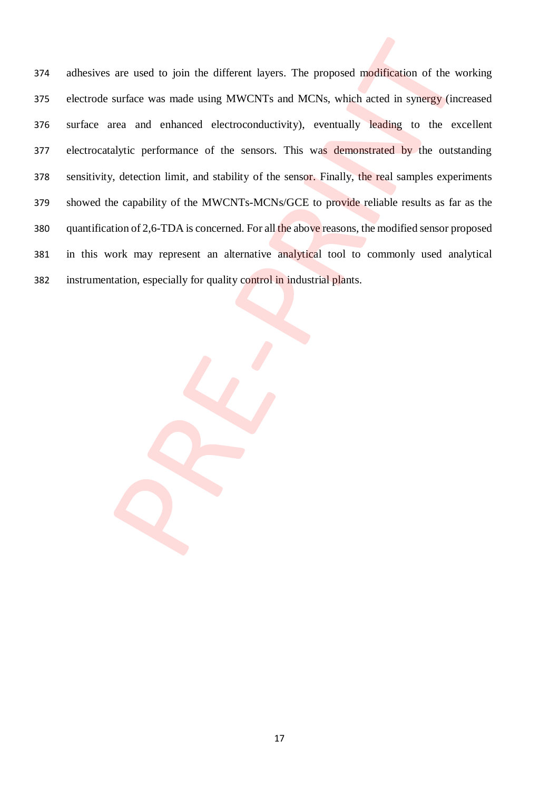adhesives are used to join the different layers. The proposed modification of the working electrode surface was made using MWCNTs and MCNs, which acted in synergy (increased surface area and enhanced electroconductivity), eventually leading to the excellent 377 electrocatalytic performance of the sensors. This was demonstrated by the outstanding sensitivity, detection limit, and stability of the sensor. Finally, the real samples experiments showed the capability of the MWCNTs-MCNs/GCE to provide reliable results as far as the quantification of 2,6-TDA is concerned. For all the above reasons, the modified sensor proposed in this work may represent an alternative analytical tool to commonly used analytical instrumentation, especially for quality control in industrial plants.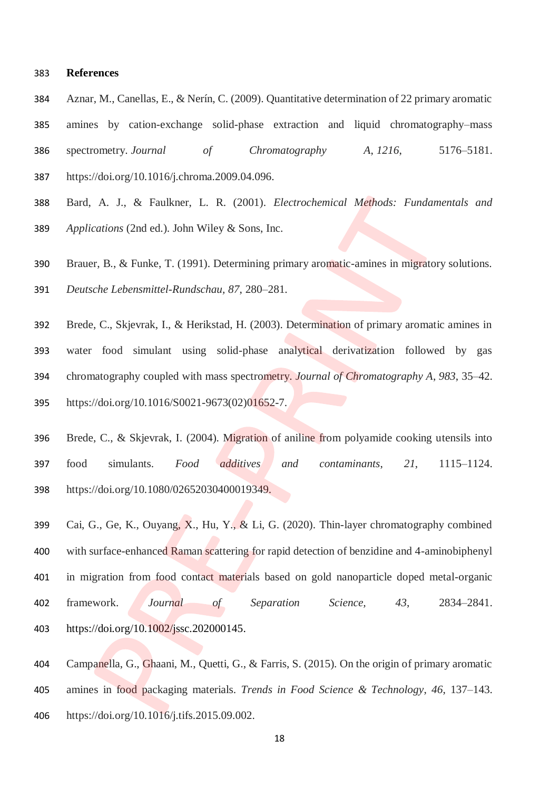#### **References**

- Aznar, M., Canellas, E., & Nerín, C. (2009). Quantitative determination of 22 primary aromatic
- amines by cation-exchange solid-phase extraction and liquid chromatography–mass spectrometry. *Journal of Chromatography A*, *1216*, 5176–5181. https://doi.org/10.1016/j.chroma.2009.04.096.
- Bard, A. J., & Faulkner, L. R. (2001). *Electrochemical Methods: Fundamentals and Applications* (2nd ed.). John Wiley & Sons, Inc.
- Brauer, B., & Funke, T. (1991). Determining primary aromatic-amines in migratory solutions.

*Deutsche Lebensmittel-Rundschau, 87*, 280–281.

- Brede, C., Skjevrak, I., & Herikstad, H. (2003). Determination of primary aromatic amines in water food simulant using solid-phase analytical derivatization followed by gas chromatography coupled with mass spectrometry. *Journal of Chromatography A*, *983*, 35–42. https://doi.org/10.1016/S0021-9673(02)01652-7.
- Brede, C., & Skjevrak, I. (2004). Migration of aniline from polyamide cooking utensils into food simulants. *Food additives and contaminants*, *21*, 1115–1124. https://doi.org/10.1080/02652030400019349.
- Cai, G., Ge, K., Ouyang, X., Hu, Y., & Li, G. (2020). Thin-layer chromatography combined with surface-enhanced Raman scattering for rapid detection of benzidine and 4-aminobiphenyl in migration from food contact materials based on gold nanoparticle doped metal-organic framework. *Journal of Separation Science, 43*, 2834–2841. [https://doi.org/10.1002/jssc.202000145.](https://doi.org/10.1002/jssc.202000145)
- Campanella, G., Ghaani, M., Quetti, G., & Farris, S. (2015). On the origin of primary aromatic amines in food packaging materials. *Trends in Food Science & Technology*, *46*, 137–143. https://doi.org/10.1016/j.tifs.2015.09.002.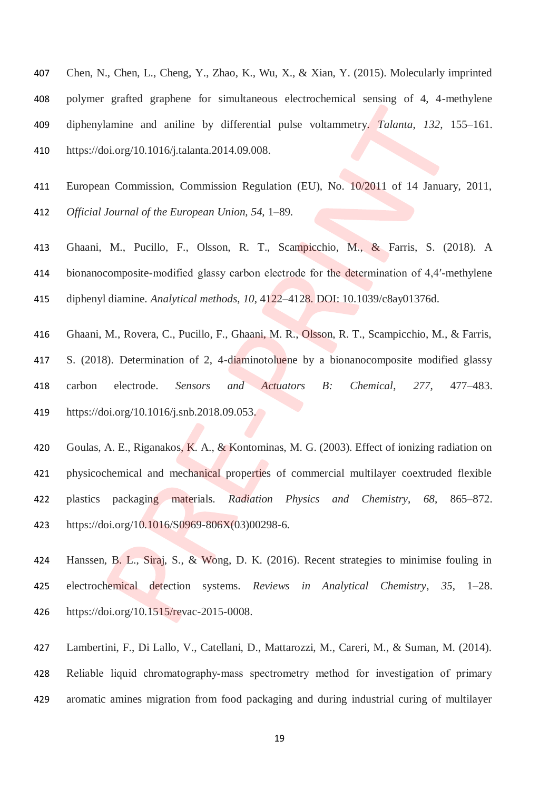- Chen, N., Chen, L., Cheng, Y., Zhao, K., Wu, X., & Xian, Y. (2015). Molecularly imprinted polymer grafted graphene for simultaneous electrochemical sensing of 4, 4-methylene diphenylamine and aniline by differential pulse voltammetry. *Talanta*, *132*, 155–161. https://doi.org/10.1016/j.talanta.2014.09.008.
- European Commission, Commission Regulation (EU), No. 10/2011 of 14 January, 2011, *Official Journal of the European Union, 54*, 1–89.
- Ghaani, M., Pucillo, F., Olsson, R. T., Scampicchio, M., & Farris, S. (2018). A 414 bionanocomposite-modified glassy carbon electrode for the determination of 4,4'-methylene diphenyl diamine. *Analytical methods*, *10*, 4122–4128. DOI: 10.1039/c8ay01376d.
- Ghaani, M., Rovera, C., Pucillo, F., Ghaani, M. R., Olsson, R. T., Scampicchio, M., & Farris, S. (2018). Determination of 2, 4-diaminotoluene by a bionanocomposite modified glassy carbon electrode. *Sensors and Actuators B: Chemical*, *277*, 477–483. https://doi.org/10.1016/j.snb.2018.09.053.
- Goulas, A. E., Riganakos, K. A., & Kontominas, M. G. (2003). Effect of ionizing radiation on physicochemical and mechanical properties of commercial multilayer coextruded flexible plastics packaging materials. *Radiation Physics and Chemistry*, *68*, 865–872. https://doi.org/10.1016/S0969-806X(03)00298-6.
- Hanssen, B. L., Siraj, S., & Wong, D. K. (2016). Recent strategies to minimise fouling in electrochemical detection systems. *Reviews in Analytical Chemistry*, *35*, 1–28. https://doi.org/10.1515/revac-2015-0008.
- Lambertini, F., Di Lallo, V., Catellani, D., Mattarozzi, M., Careri, M., & Suman, M. (2014). Reliable liquid chromatography‐mass spectrometry method for investigation of primary aromatic amines migration from food packaging and during industrial curing of multilayer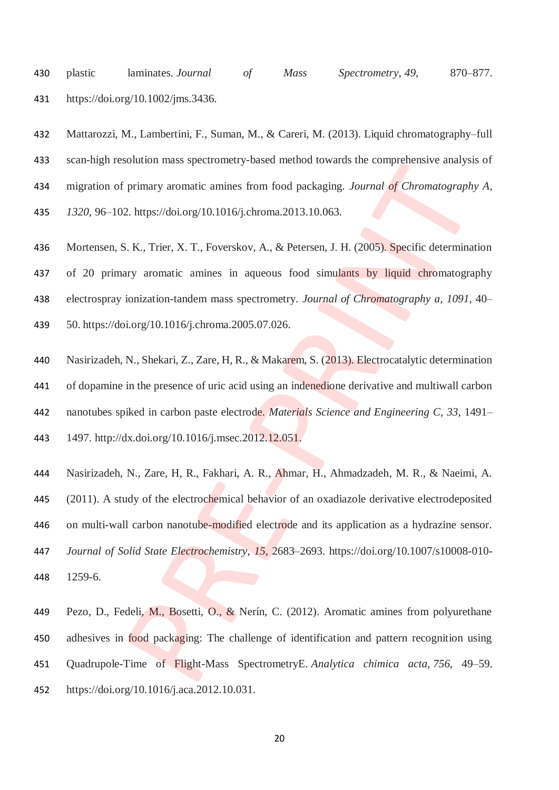plastic laminates. *Journal of Mass Spectrometry*, *49*, 870–877. https://doi.org/10.1002/jms.3436.

 Mattarozzi, M., Lambertini, F., Suman, M., & Careri, M. (2013). Liquid chromatography–full scan-high resolution mass spectrometry-based method towards the comprehensive analysis of migration of primary aromatic amines from food packaging. *Journal of Chromatography A*,

*1320*, 96–102. https://doi.org/10.1016/j.chroma.2013.10.063.

- Mortensen, S. K., Trier, X. T., Foverskov, A., & Petersen, J. H. (2005). Specific determination of 20 primary aromatic amines in aqueous food simulants by liquid chromatography electrospray ionization-tandem mass spectrometry. *Journal of Chromatography a*, *1091*, 40– 50. https://doi.org/10.1016/j.chroma.2005.07.026.
- Nasirizadeh, N., Shekari, Z., Zare, H, R., & Makarem, S. (2013). Electrocatalytic determination of dopamine in the presence of uric acid using an indenedione derivative and multiwall carbon nanotubes spiked in carbon paste electrode. *Materials Science and Engineering C*, *33*, 1491– 1497. http://dx.doi.org/10.1016/j.msec.2012.12.051.
- Nasirizadeh, N., Zare, H, R., Fakhari, A. R., Ahmar, H., Ahmadzadeh, M. R., & Naeimi, A. (2011). A study of the electrochemical behavior of an oxadiazole derivative electrodeposited 446 on multi-wall carbon nanotube-modified electrode and its application as a hydrazine sensor. *Journal of Solid State Electrochemistry*, *15*, 2683–2693. https://doi.org/10.1007/s10008-010- 1259-6.
- Pezo, D., Fedeli, M., Bosetti, O., & Nerín, C. (2012). Aromatic amines from polyurethane 450 adhesives in food packaging: The challenge of identification and pattern recognition using Quadrupole-Time of Flight-Mass SpectrometryE. *Analytica chimica acta*, *756*, 49–59. https://doi.org/10.1016/j.aca.2012.10.031.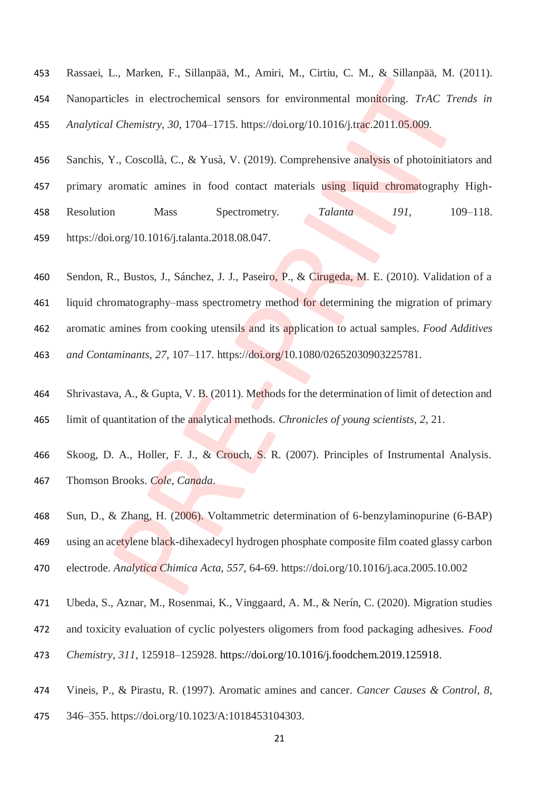- Rassaei, L., Marken, F., Sillanpää, M., Amiri, M., Cirtiu, C. M., & Sillanpää, M. (2011). Nanoparticles in electrochemical sensors for environmental monitoring. *TrAC Trends in Analytical Chemistry*, *30*, 1704–1715. https://doi.org/10.1016/j.trac.2011.05.009.
- Sanchis, Y., Coscollà, C., & Yusà, V. (2019). Comprehensive analysis of photoinitiators and 457 primary aromatic amines in food contact materials using liquid chromatography High- Resolution Mass Spectrometry. *Talanta 191*, 109–118. https://doi.org/10.1016/j.talanta.2018.08.047.
- Sendon, R., Bustos, J., Sánchez, J. J., Paseiro, P., & Cirugeda, M. E. (2010). Validation of a liquid chromatography–mass spectrometry method for determining the migration of primary aromatic amines from cooking utensils and its application to actual samples. *Food Additives and Contaminants*, *27*, 107–117. https://doi.org/10.1080/02652030903225781.
- Shrivastava, A., & Gupta, V. B. (2011). Methods for the determination of limit of detection and limit of quantitation of the analytical methods. *Chronicles of young scientists*, *2*, 21.
- Skoog, D. A., Holler, F. J., & Crouch, S. R. (2007). Principles of Instrumental Analysis. Thomson Brooks. *Cole, Canada*.
- Sun, D., & Zhang, H. (2006). Voltammetric determination of 6-benzylaminopurine (6-BAP) using an acetylene black-dihexadecyl hydrogen phosphate composite film coated glassy carbon electrode. *Analytica Chimica Acta, 557*, 64-69. https://doi.org/10.1016/j.aca.2005.10.002
- Ubeda, S., Aznar, M., Rosenmai, K., Vinggaard, A. M., & Nerín, C. (2020). Migration studies
- and toxicity evaluation of cyclic polyesters oligomers from food packaging adhesives. *Food*
- *Chemistry, 311*, 125918–125928. [https://doi.org/10.1016/j.foodchem.2019.125918.](https://doi.org/10.1016/j.foodchem.2019.125918)
- Vineis, P., & Pirastu, R. (1997). Aromatic amines and cancer. *Cancer Causes & Control*, *8*,
- 346–355. https://doi.org/10.1023/A:1018453104303.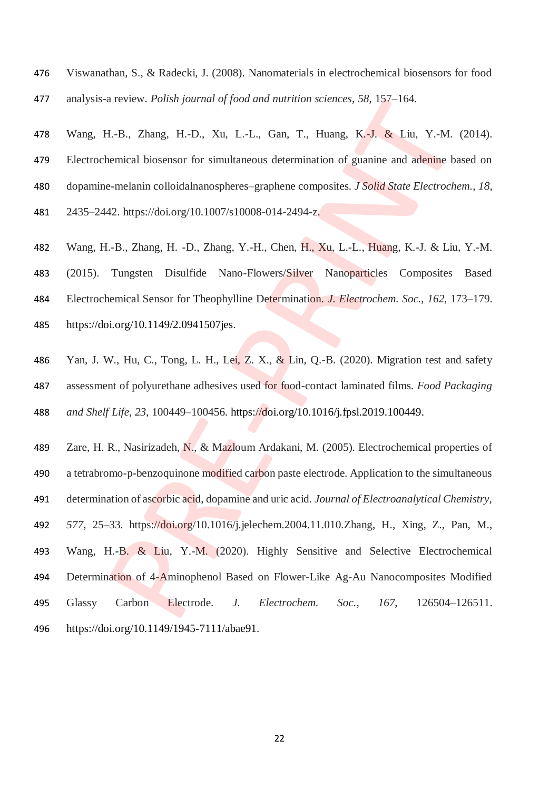- Viswanathan, S., & Radecki, J. (2008). Nanomaterials in electrochemical biosensors for food
- analysis-a review. *Polish journal of food and nutrition sciences*, *58*, 157–164.
- Wang, H.-B., Zhang, H.-D., Xu, L.-L., Gan, T., Huang, K.-J. & Liu, Y.-M. (2014). Electrochemical biosensor for simultaneous determination of guanine and adenine based on dopamine-melanin colloidalnanospheres–graphene composites. *J Solid State Electrochem.*, *18*, 2435–2442. https://doi.org/10.1007/s10008-014-2494-z.
- Wang, H.-B., Zhang, H. -D., Zhang, Y.-H., Chen, H., Xu, L.-L., Huang, K.-J. & Liu, Y.-M. (2015). Tungsten Disulfide Nano-Flowers/Silver Nanoparticles Composites Based Electrochemical Sensor for Theophylline Determination. *J. Electrochem. Soc.*, *162*, 173–179. https://doi.org/10.1149/2.0941507jes.
- Yan, J. W., Hu, C., Tong, L. H., Lei, Z. X., & Lin, Q.-B. (2020). Migration test and safety assessment of polyurethane adhesives used for food-contact laminated films. *Food Packaging and Shelf Life, 23*, 100449–100456. [https://doi.org/10.1016/j.fpsl.2019.100449.](https://doi.org/10.1016/j.fpsl.2019.100449)
- Zare, H. R., Nasirizadeh, N., & Mazloum Ardakani, M. (2005). Electrochemical properties of a tetrabromo-p-benzoquinone modified carbon paste electrode. Application to the simultaneous determination of ascorbic acid, dopamine and uric acid. *Journal of Electroanalytical Chemistry*, *577*, 25–33. https://doi.org/10.1016/j.jelechem.2004.11.010.Zhang, H., Xing, Z., Pan, M., Wang, H.-B. & Liu, Y.-M. (2020). Highly Sensitive and Selective Electrochemical Determination of 4-Aminophenol Based on Flower-Like Ag-Au Nanocomposites Modified Glassy Carbon Electrode. *J. Electrochem. Soc.*, *167*, 126504–126511. https://doi.org/10.1149/1945-7111/abae91.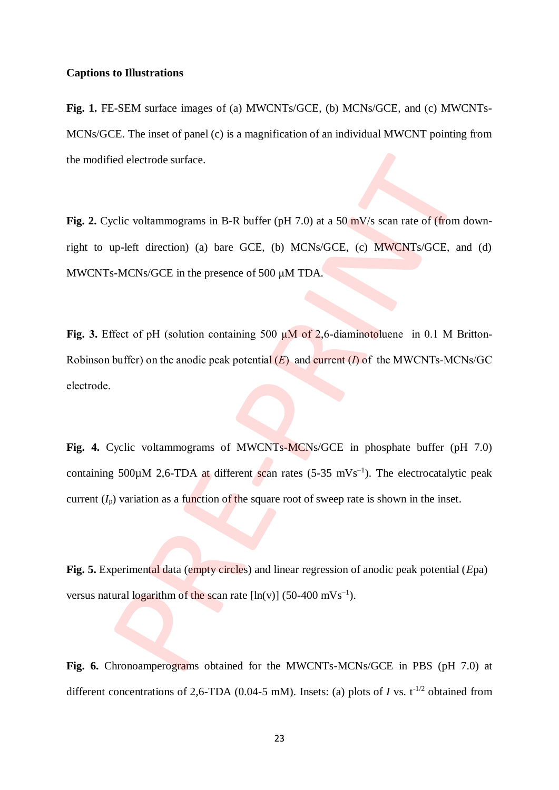## **Captions to Illustrations**

**Fig. 1.** FE-SEM surface images of (a) MWCNTs/GCE, (b) MCNs/GCE, and (c) MWCNTs-MCNs/GCE. The inset of panel (c) is a magnification of an individual MWCNT pointing from the modified electrode surface.

Fig. 2. Cyclic voltammograms in B-R buffer (pH 7.0) at a 50 mV/s scan rate of (from downright to up-left direction) (a) bare GCE, (b) MCNs/GCE, (c) MWCNTs/GCE, and (d) MWCNTs-MCNs/GCE in the presence of 500 μM TDA.

**Fig. 3.** Effect of pH (solution containing 500 µM of 2,6-diaminotoluene in 0.1 M Britton-Robinson buffer) on the anodic peak potential (*E*) and current (*I*) of the MWCNTs-MCNs/GC electrode.

**Fig. 4.** Cyclic voltammograms of MWCNTs-MCNs/GCE in phosphate buffer (pH 7.0) containing 500 $\mu$ M 2,6-TDA at different scan rates (5-35 mVs<sup>-1</sup>). The electrocatalytic peak current  $(I_p)$  variation as a function of the square root of sweep rate is shown in the inset.

**Fig. 5.** Experimental data (empty circles) and linear regression of anodic peak potential (*E*pa) versus natural logarithm of the scan rate  $[\ln(v)]$  (50-400 mVs<sup>-1</sup>).

**Fig. 6.** Chronoamperograms obtained for the MWCNTs-MCNs/GCE in PBS (pH 7.0) at different concentrations of 2,6-TDA (0.04-5 mM). Insets: (a) plots of *I* vs.  $t^{-1/2}$  obtained from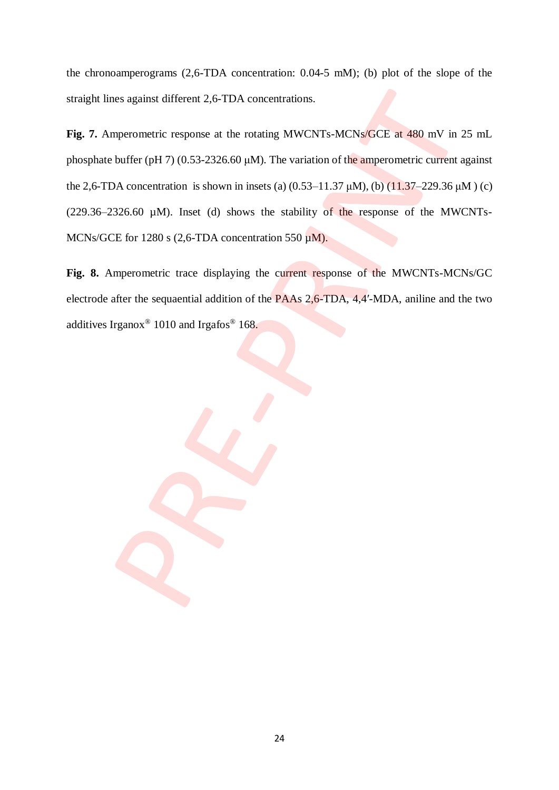the chronoamperograms (2,6-TDA concentration: 0.04-5 mM); (b) plot of the slope of the straight lines against different 2,6-TDA concentrations.

**Fig. 7.** Amperometric response at the rotating MWCNTs-MCNs/GCE at 480 mV in 25 mL phosphate buffer (pH 7) (0.53-2326.60 μM). The variation of the amperometric current against the 2,6-TDA concentration is shown in insets (a)  $(0.53-11.37 \mu M)$ , (b)  $(11.37-229.36 \mu M)$  (c)  $(229.36-2326.60 \mu M)$ . Inset (d) shows the stability of the response of the MWCNTs-MCNs/GCE for 1280 s (2,6-TDA concentration 550  $\mu$ M).

**Fig. 8.** Amperometric trace displaying the current response of the MWCNTs-MCNs/GC electrode after the sequaential addition of the PAAs 2,6-TDA, 4,4'-MDA, aniline and the two additives Irganox<sup>®</sup> 1010 and Irgafos<sup>®</sup> 168.